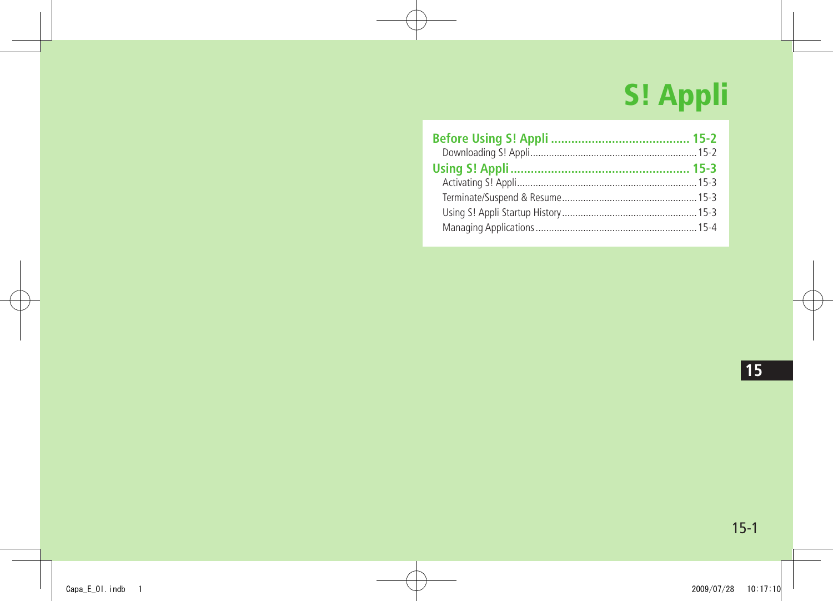# **S! Appli**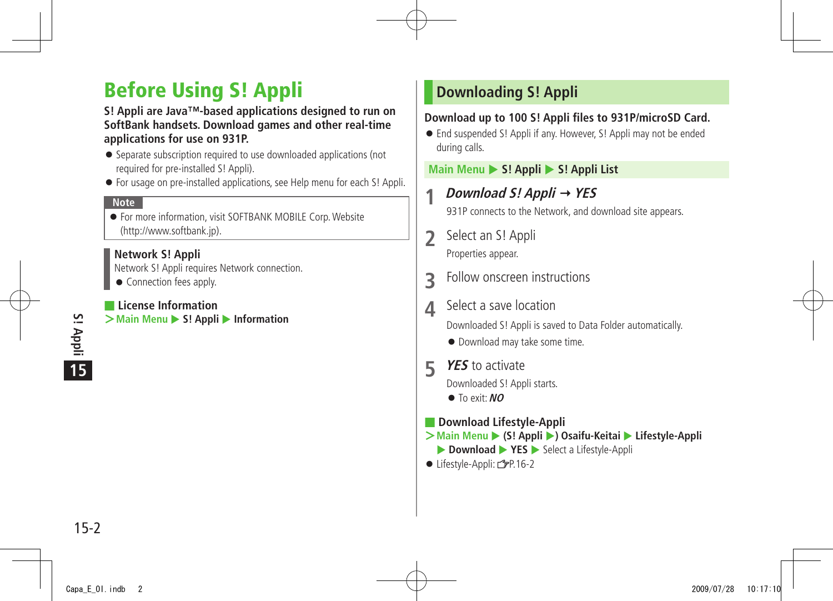# <span id="page-1-0"></span>**Before Using S! Appli**

#### **S! Appli are Java™-based applications designed to run on SoftBank handsets. Download games and other real-time applications for use on 931P.**

- Separate subscription required to use downloaded applications (not required for pre-installed S! Appli).
- For usage on pre-installed applications, see Help menu for each S! Appli.

#### **Note**

● For more information, visit SOFTBANK MOBILE Corp. Website (http://www.softbank.jp).

#### **Network S! Appli**

Network S! Appli requires Network connection.

● Connection fees apply.

#### ■ **License Information**

**>Main Menu** ▶ S! Appli ▶ Information

# **Downloading S! Appli**

#### **Download up to 100 S! Appli files to 931P/microSD Card.**

● End suspended S! Appli if any. However, S! Appli may not be ended during calls.

#### **Main Menu ▶ S! Appli ▶ S! Appli List**

**1 Download S! Appli YES**

931P connects to the Network, and download site appears.

- **2** Select an S! Appli Properties appear.
- **3** Follow onscreen instructions
- **4** Select a save location

Downloaded S! Appli is saved to Data Folder automatically.

- Download may take some time.
- **5 YES** to activate

Downloaded S! Appli starts.

- To exit: **NO**
- **Download Lifestyle-Appli**
- $\geq$  Main Menu ▶ (S! Appli ▶) Osaifu-Keitai ▶ Lifestyle-Appli ▶ **Download ▶ YES ▶** Select a Lifestyle-Appli
- Lifestyle-Appli: <del>C</del>P.16-2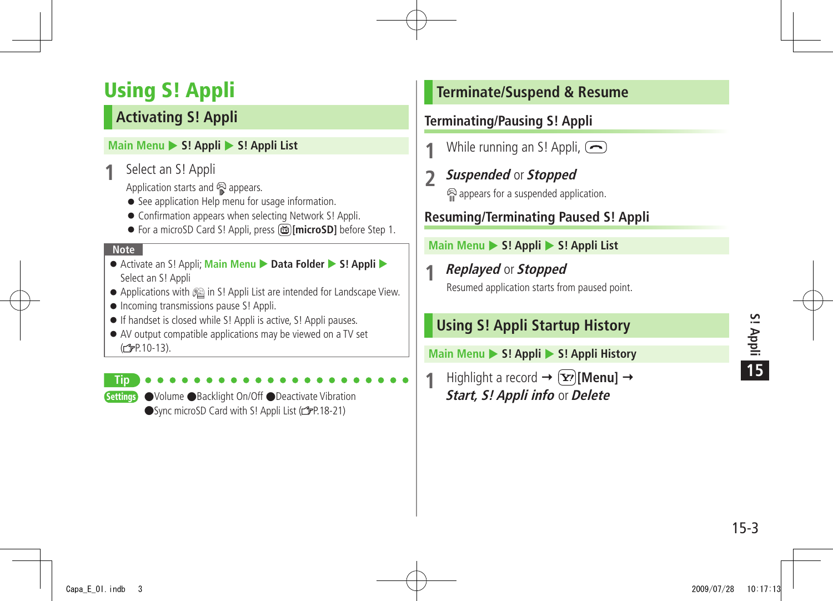# <span id="page-2-0"></span>**Using S! Appli**

# **Activating S! Appli**

#### **Main Menu > S! Appli > S! Appli List**

**1** Select an S! Appli

Application starts and  $\mathbb{R}$  appears.

- See application Help menu for usage information.
- Confirmation appears when selecting Network S! Appli.
- For a microSD Card S! Appli, press **i imicroSD1** before Step 1.

#### **Note**

- Activate an S! Appli; Main Menu ▶ Data Folder ▶ S! Appli ▶ Select an S! Appli
- Applications with <sup>2</sup> in S! Appli List are intended for Landscape View.
- Incoming transmissions pause S! Appli.
- If handset is closed while S! Appli is active, S! Appli pauses.
- AV output compatible applications may be viewed on a TV set  $(\mathbb{Z}P.10-13)$ .

**Tip**

Settings ●Volume ●Backlight On/Off ●Deactivate Vibration ●Sync microSD Card with S! Appli List (rep.18-21)

# **Terminate/Suspend & Resume**

### **Terminating/Pausing S! Appli**

- **1** While running an S! Appli,  $\odot$
- **2 Suspended** or **Stopped** appears for a suspended application.

# **Resuming/Terminating Paused S! Appli**

#### **Main Menu > S! Appli > S! Appli List**

# **1 Replayed** or **Stopped**

Resumed application starts from paused point.

# **Using S! Appli Startup History**

**Main Menu ▶ S! Appli ▶ S! Appli History** 

**Highlight a record**  $\rightarrow$  $\boxed{\mathbf{Y}}$  **[Menu]**  $\rightarrow$ **Start, S! Appli info** or **Delete**